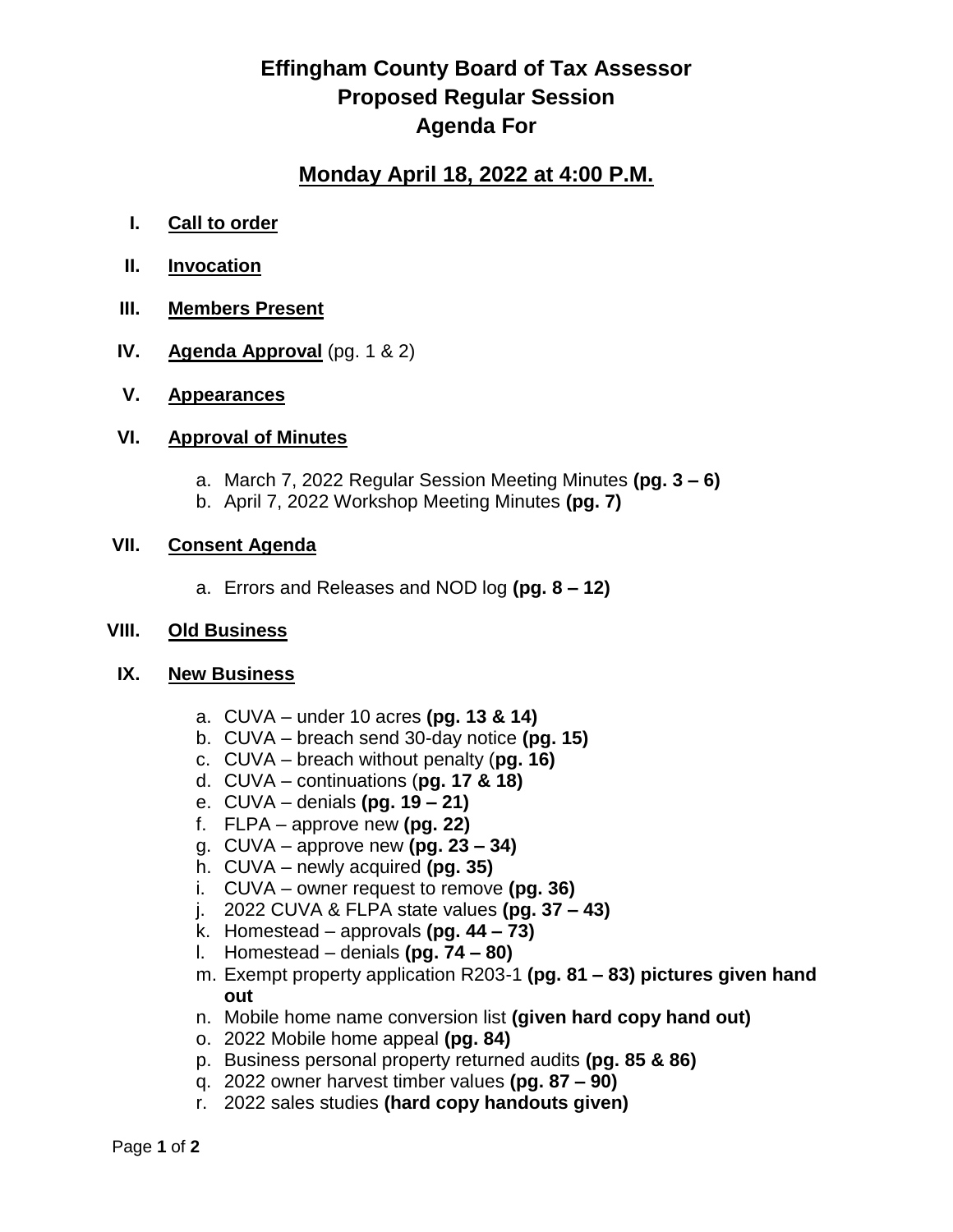## **Effingham County Board of Tax Assessor Proposed Regular Session Agenda For**

### **Monday April 18, 2022 at 4:00 P.M.**

- **I. Call to order**
- **II. Invocation**
- **III. Members Present**
- **IV. Agenda Approval** (pg. 1 & 2)
- **V. Appearances**

#### **VI. Approval of Minutes**

- a. March 7, 2022 Regular Session Meeting Minutes **(pg. 3 – 6)**
- b. April 7, 2022 Workshop Meeting Minutes **(pg. 7)**

#### **VII. Consent Agenda**

a. Errors and Releases and NOD log **(pg. 8 – 12)**

#### **VIII. Old Business**

#### **IX. New Business**

- a. CUVA under 10 acres **(pg. 13 & 14)**
- b. CUVA breach send 30-day notice **(pg. 15)**
- c. CUVA breach without penalty (**pg. 16)**
- d. CUVA continuations (**pg. 17 & 18)**
- e. CUVA denials **(pg. 19 – 21)**
- f. FLPA approve new **(pg. 22)**
- g. CUVA approve new **(pg. 23 – 34)**
- h. CUVA newly acquired **(pg. 35)**
- i. CUVA owner request to remove **(pg. 36)**
- j. 2022 CUVA & FLPA state values **(pg. 37 – 43)**
- k. Homestead approvals **(pg. 44 – 73)**
- l. Homestead denials **(pg. 74 – 80)**
- m. Exempt property application R203-1 **(pg. 81 – 83) pictures given hand out**
- n. Mobile home name conversion list **(given hard copy hand out)**
- o. 2022 Mobile home appeal **(pg. 84)**
- p. Business personal property returned audits **(pg. 85 & 86)**
- q. 2022 owner harvest timber values **(pg. 87 – 90)**
- r. 2022 sales studies **(hard copy handouts given)**